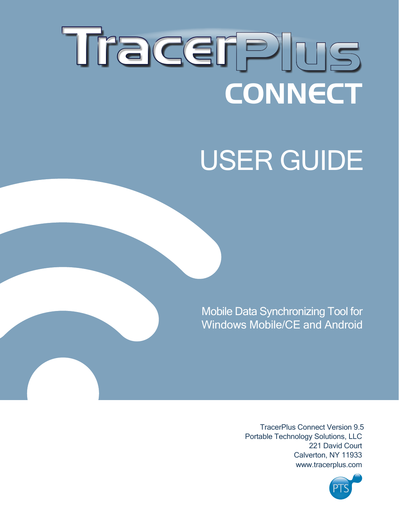# Tracerplus **CONNECT**

## USER GUIDE

Mobile Data Synchronizing Tool for Windows Mobile/CE and Android

> TracerPlus Connect Version 9.5 Portable Technology Solutions, LLC 221 David Court Calverton, NY 11933 www.tracerplus.com

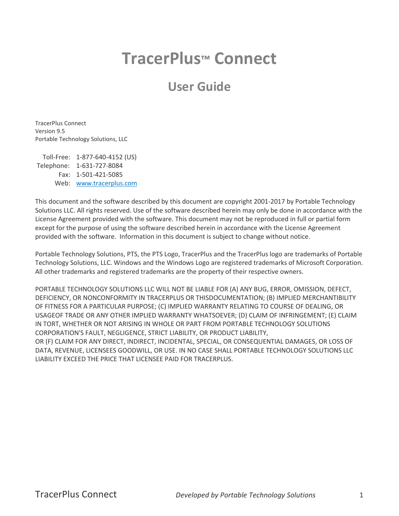## **TracerPlus™ Connect**

### **User Guide**

TracerPlus Connect Version 9.5 Portable Technology Solutions, LLC

Toll-Free: 1-877-640-4152 (US) Telephone: 1-631-727-8084 Fax: 1-501-421-5085 Web: [www.tracerplus.com](http://www.tracerplus.com/)

This document and the software described by this document are copyright 2001-2017 by Portable Technology Solutions LLC. All rights reserved. Use of the software described herein may only be done in accordance with the License Agreement provided with the software. This document may not be reproduced in full or partial form except for the purpose of using the software described herein in accordance with the License Agreement provided with the software. Information in this document is subject to change without notice.

Portable Technology Solutions, PTS, the PTS Logo, TracerPlus and the TracerPlus logo are trademarks of Portable Technology Solutions, LLC. Windows and the Windows Logo are registered trademarks of Microsoft Corporation. All other trademarks and registered trademarks are the property of their respective owners.

PORTABLE TECHNOLOGY SOLUTIONS LLC WILL NOT BE LIABLE FOR (A) ANY BUG, ERROR, OMISSION, DEFECT, DEFICIENCY, OR NONCONFORMITY IN TRACERPLUS OR THISDOCUMENTATION; (B) IMPLIED MERCHANTIBILITY OF FITNESS FOR A PARTICULAR PURPOSE; (C) IMPLIED WARRANTY RELATING TO COURSE OF DEALING, OR USAGEOF TRADE OR ANY OTHER IMPLIED WARRANTY WHATSOEVER; (D) CLAIM OF INFRINGEMENT; (E) CLAIM IN TORT, WHETHER OR NOT ARISING IN WHOLE OR PART FROM PORTABLE TECHNOLOGY SOLUTIONS CORPORATION'S FAULT, NEGLIGENCE, STRICT LIABILITY, OR PRODUCT LIABILITY, OR (F) CLAIM FOR ANY DIRECT, INDIRECT, INCIDENTAL, SPECIAL, OR CONSEQUENTIAL DAMAGES, OR LOSS OF DATA, REVENUE, LICENSEES GOODWILL, OR USE. IN NO CASE SHALL PORTABLE TECHNOLOGY SOLUTIONS LLC LIABILITY EXCEED THE PRICE THAT LICENSEE PAID FOR TRACERPLUS.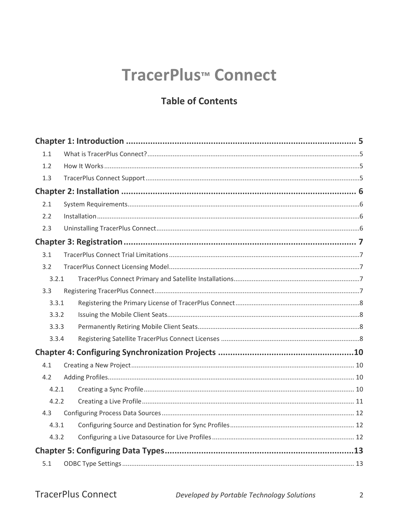## TracerPlus<sup>™</sup> Connect

#### **Table of Contents**

| 1.1   |  |  |
|-------|--|--|
| 1.2   |  |  |
| 1.3   |  |  |
|       |  |  |
| 2.1   |  |  |
| 2.2   |  |  |
| 2.3   |  |  |
|       |  |  |
| 3.1   |  |  |
| 3.2   |  |  |
| 3.2.1 |  |  |
| 3.3   |  |  |
| 3.3.1 |  |  |
| 3.3.2 |  |  |
| 3.3.3 |  |  |
| 3.3.4 |  |  |
|       |  |  |
| 4.1   |  |  |
| 4.2   |  |  |
| 4.2.1 |  |  |
| 4.2.2 |  |  |
| 4.3   |  |  |
| 4.3.1 |  |  |
| 4.3.2 |  |  |
|       |  |  |
| 5.1   |  |  |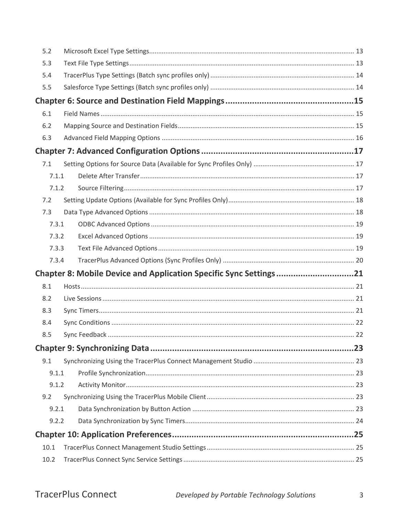| 5.2   |                                                                   |  |
|-------|-------------------------------------------------------------------|--|
| 5.3   |                                                                   |  |
| 5.4   |                                                                   |  |
| 5.5   |                                                                   |  |
|       |                                                                   |  |
| 6.1   |                                                                   |  |
| 6.2   |                                                                   |  |
| 6.3   |                                                                   |  |
|       |                                                                   |  |
| 7.1   |                                                                   |  |
| 7.1.1 |                                                                   |  |
| 7.1.2 |                                                                   |  |
| 7.2   |                                                                   |  |
| 7.3   |                                                                   |  |
| 7.3.1 |                                                                   |  |
| 7.3.2 |                                                                   |  |
| 7.3.3 |                                                                   |  |
| 7.3.4 |                                                                   |  |
|       | Chapter 8: Mobile Device and Application Specific Sync Settings21 |  |
| 8.1   |                                                                   |  |
| 8.2   |                                                                   |  |
| 8.3   |                                                                   |  |
| 8.4   |                                                                   |  |
| 8.5   |                                                                   |  |
|       |                                                                   |  |
| 9.1   |                                                                   |  |
| 9.1.1 |                                                                   |  |
| 9.1.2 |                                                                   |  |
| 9.2   |                                                                   |  |
| 9.2.1 |                                                                   |  |
| 9.2.2 |                                                                   |  |
|       |                                                                   |  |
| 10.1  |                                                                   |  |
| 10.2  |                                                                   |  |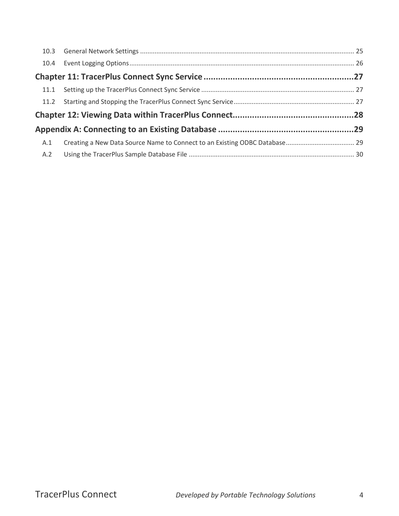| A.1 |  |
|-----|--|
| A.2 |  |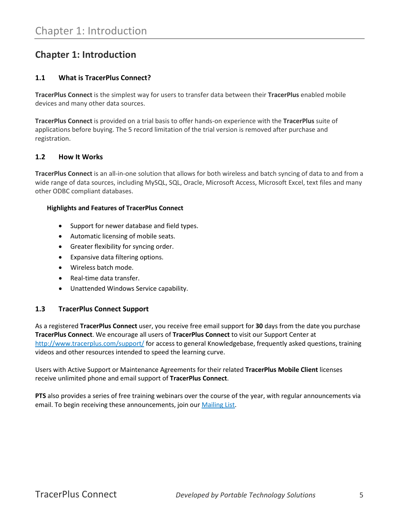#### <span id="page-5-0"></span>**Chapter 1: Introduction**

#### <span id="page-5-1"></span>**1.1 What is TracerPlus Connect?**

**TracerPlus Connect** is the simplest way for users to transfer data between their **TracerPlus** enabled mobile devices and many other data sources.

**TracerPlus Connect** is provided on a trial basis to offer hands-on experience with the **TracerPlus** suite of applications before buying. The 5 record limitation of the trial version is removed after purchase and registration.

#### <span id="page-5-2"></span>**1.2 How It Works**

**TracerPlus Connect** is an all-in-one solution that allows for both wireless and batch syncing of data to and from a wide range of data sources, including MySQL, SQL, Oracle, Microsoft Access, Microsoft Excel, text files and many other ODBC compliant databases.

#### **Highlights and Features of TracerPlus Connect**

- Support for newer database and field types.
- Automatic licensing of mobile seats.
- Greater flexibility for syncing order.
- Expansive data filtering options.
- Wireless batch mode.
- Real-time data transfer.
- Unattended Windows Service capability.

#### <span id="page-5-3"></span>**1.3 TracerPlus Connect Support**

As a registered **TracerPlus Connect** user, you receive free email support for **30** days from the date you purchase **TracerPlus Connect**. We encourage all users of **TracerPlus Connect** to visit our Support Center at <http://www.tracerplus.com/support/> for access to general Knowledgebase, frequently asked questions, training videos and other resources intended to speed the learning curve.

Users with Active Support or Maintenance Agreements for their related **TracerPlus Mobile Client** licenses receive unlimited phone and email support of **TracerPlus Connect**.

**PTS** also provides a series of free training webinars over the course of the year, with regular announcements via email. To begin receiving these announcements, join our **Mailing List**.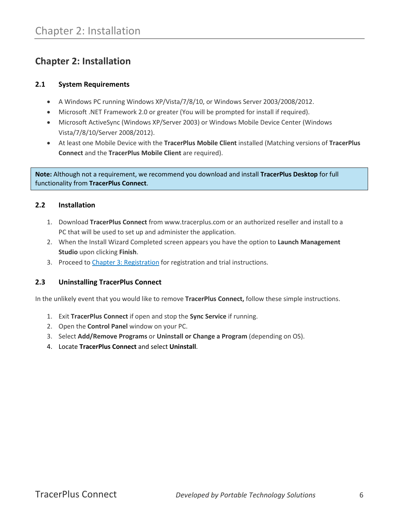#### <span id="page-6-0"></span>**Chapter 2: Installation**

#### <span id="page-6-1"></span>**2.1 System Requirements**

- A Windows PC running Windows XP/Vista/7/8/10, or Windows Server 2003/2008/2012.
- Microsoft .NET Framework 2.0 or greater (You will be prompted for install if required).
- Microsoft ActiveSync (Windows XP/Server 2003) or Windows Mobile Device Center (Windows Vista/7/8/10/Server 2008/2012).
- At least one Mobile Device with the **TracerPlus Mobile Client** installed (Matching versions of **TracerPlus Connect** and the **TracerPlus Mobile Client** are required).

**Note:** Although not a requirement, we recommend you download and install **TracerPlus Desktop** for full functionality from **TracerPlus Connect**.

#### <span id="page-6-2"></span>**2.2 Installation**

- 1. Download **TracerPlus Connect** from www.tracerplus.com or an authorized reseller and install to a PC that will be used to set up and administer the application.
- 2. When the Install Wizard Completed screen appears you have the option to **Launch Management Studio** upon clicking **Finish**.
- 3. Proceed to [Chapter 3: Registration](#page-7-0) for registration and trial instructions.

#### <span id="page-6-3"></span>**2.3 Uninstalling TracerPlus Connect**

In the unlikely event that you would like to remove **TracerPlus Connect,** follow these simple instructions.

- 1. Exit **TracerPlus Connect** if open and stop the **Sync Service** if running.
- 2. Open the **Control Panel** window on your PC.
- 3. Select **Add/Remove Programs** or **Uninstall or Change a Program** (depending on OS).
- 4. Locate **TracerPlus Connect** and select **Uninstall**.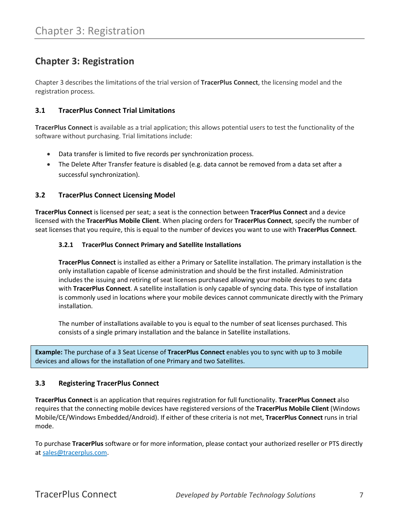#### <span id="page-7-0"></span>**Chapter 3: Registration**

Chapter 3 describes the limitations of the trial version of **TracerPlus Connect**, the licensing model and the registration process.

#### <span id="page-7-1"></span>**3.1 TracerPlus Connect Trial Limitations**

**TracerPlus Connect** is available as a trial application; this allows potential users to test the functionality of the software without purchasing. Trial limitations include:

- Data transfer is limited to five records per synchronization process.
- The Delete After Transfer feature is disabled (e.g. data cannot be removed from a data set after a successful synchronization).

#### <span id="page-7-2"></span>**3.2 TracerPlus Connect Licensing Model**

<span id="page-7-3"></span>**TracerPlus Connect** is licensed per seat; a seat is the connection between **TracerPlus Connect** and a device licensed with the **TracerPlus Mobile Client**. When placing orders for **TracerPlus Connect**, specify the number of seat licenses that you require, this is equal to the number of devices you want to use with **TracerPlus Connect**.

#### **3.2.1 TracerPlus Connect Primary and Satellite Installations**

**TracerPlus Connect** is installed as either a Primary or Satellite installation. The primary installation is the only installation capable of license administration and should be the first installed. Administration includes the issuing and retiring of seat licenses purchased allowing your mobile devices to sync data with **TracerPlus Connect**. A satellite installation is only capable of syncing data. This type of installation is commonly used in locations where your mobile devices cannot communicate directly with the Primary installation.

The number of installations available to you is equal to the number of seat licenses purchased. This consists of a single primary installation and the balance in Satellite installations.

**Example:** The purchase of a 3 Seat License of **TracerPlus Connect** enables you to sync with up to 3 mobile devices and allows for the installation of one Primary and two Satellites.

#### <span id="page-7-4"></span>**3.3 Registering TracerPlus Connect**

**TracerPlus Connect** is an application that requires registration for full functionality. **TracerPlus Connect** also requires that the connecting mobile devices have registered versions of the **TracerPlus Mobile Client** (Windows Mobile/CE/Windows Embedded/Android). If either of these criteria is not met, **TracerPlus Connect** runs in trial mode.

To purchase **TracerPlus** software or for more information, please contact your authorized reseller or PTS directly at [sales@tracerplus.com.](mailto:sales@tracerplus.com)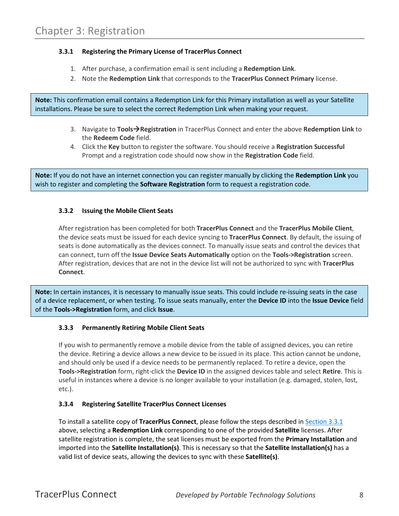#### <span id="page-8-0"></span>**3.3.1 Registering the Primary License of TracerPlus Connect**

- 1. After purchase, a confirmation email is sent including a **Redemption Link**.
- 2. Note the **Redemption Link** that corresponds to the **TracerPlus Connect Primary** license.

**Note:** This confirmation email contains a Redemption Link for this Primary installation as well as your Satellite installations. Please be sure to select the correct Redemption Link when making your request.

- 3. Navigate to **ToolsRegistration** in TracerPlus Connect and enter the above **Redemption Link** to the **Redeem Code** field.
- 4. Click the **Key** button to register the software. You should receive a **Registration Successful** Prompt and a registration code should now show in the **Registration Code** field.

**Note:** If you do not have an internet connection you can register manually by clicking the **Redemption Link** you wish to register and completing the **Software Registration** form to request a registration code.

#### <span id="page-8-1"></span>**3.3.2 Issuing the Mobile Client Seats**

After registration has been completed for both **TracerPlus Connect** and the **TracerPlus Mobile Client**, the device seats must be issued for each device syncing to **TracerPlus Connect**. By default, the issuing of seats is done automatically as the devices connect. To manually issue seats and control the devices that can connect, turn off the **Issue Device Seats Automatically** option on the **Tools->Registration** screen. After registration, devices that are not in the device list will not be authorized to sync with **TracerPlus Connect**.

**Note:** In certain instances, it is necessary to manually issue seats. This could include re-issuing seats in the case of a device replacement, or when testing. To issue seats manually, enter the **Device ID** into the **Issue Device** field of the **Tools->Registration** form, and click **Issue**.

#### <span id="page-8-2"></span>**3.3.3 Permanently Retiring Mobile Client Seats**

If you wish to permanently remove a mobile device from the table of assigned devices, you can retire the device. Retiring a device allows a new device to be issued in its place. This action cannot be undone, and should only be used if a device needs to be permanently replaced. To retire a device, open the **Tools->Registration** form, right-click the **Device ID** in the assigned devices table and select **Retire**. This is useful in instances where a device is no longer available to your installation (e.g. damaged, stolen, lost, etc.).

#### <span id="page-8-3"></span>**3.3.4 Registering Satellite TracerPlus Connect Licenses**

To install a satellite copy of **TracerPlus Connect**, please follow the steps described i[n Section 3.3.1](#page-8-0) above, selecting a **Redemption Link** corresponding to one of the provided **Satellite** licenses. After satellite registration is complete, the seat licenses must be exported from the **Primary Installation** and imported into the **Satellite Installation(s)**. This is necessary so that the **Satellite Installation(s)** has a valid list of device seats, allowing the devices to sync with these **Satellite(s)**.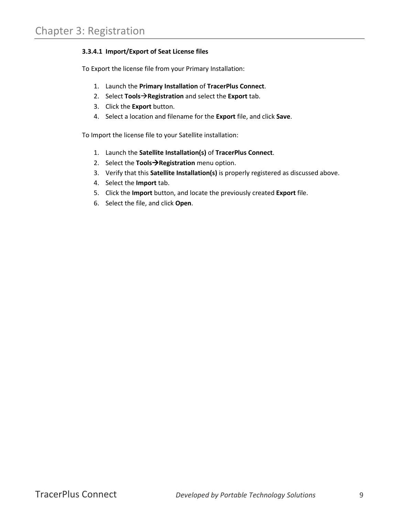#### **3.3.4.1 Import/Export of Seat License files**

To Export the license file from your Primary Installation:

- 1. Launch the **Primary Installation** of **TracerPlus Connect**.
- 2. Select **ToolsRegistration** and select the **Export** tab.
- 3. Click the **Export** button.
- 4. Select a location and filename for the **Export** file, and click **Save**.

To Import the license file to your Satellite installation:

- 1. Launch the **Satellite Installation(s)** of **TracerPlus Connect**.
- 2. Select the **ToolsRegistration** menu option.
- 3. Verify that this **Satellite Installation(s)** is properly registered as discussed above.
- 4. Select the **Import** tab.
- 5. Click the **Import** button, and locate the previously created **Export** file.
- 6. Select the file, and click **Open**.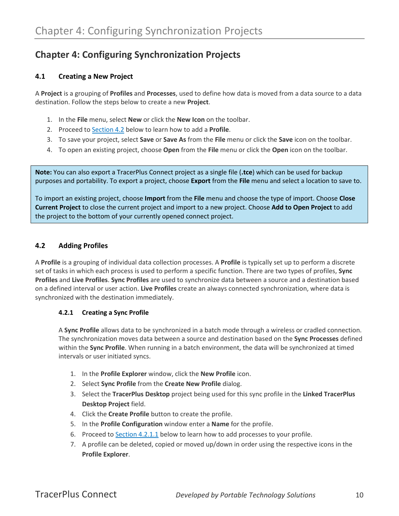#### <span id="page-10-0"></span>**Chapter 4: Configuring Synchronization Projects**

#### <span id="page-10-1"></span>**4.1 Creating a New Project**

A **Project** is a grouping of **Profiles** and **Processes**, used to define how data is moved from a data source to a data destination. Follow the steps below to create a new **Project**.

- 1. In the **File** menu, select **New** or click the **New Icon** on the toolbar.
- 2. Proceed to [Section 4.2](#page-10-4) below to learn how to add a **Profile**.
- 3. To save your project, select **Save** or **Save As** from the **File** menu or click the **Save** icon on the toolbar.
- 4. To open an existing project, choose **Open** from the **File** menu or click the **Open** icon on the toolbar.

**Note:** You can also export a TracerPlus Connect project as a single file (**.tce**) which can be used for backup purposes and portability. To export a project, choose **Export** from the **File** menu and select a location to save to.

To import an existing project, choose **Import** from the **File** menu and choose the type of import. Choose **Close Current Project** to close the current project and import to a new project. Choose **Add to Open Project** to add the project to the bottom of your currently opened connect project.

#### <span id="page-10-4"></span><span id="page-10-2"></span>**4.2 Adding Profiles**

A **Profile** is a grouping of individual data collection processes. A **Profile** is typically set up to perform a discrete set of tasks in which each process is used to perform a specific function. There are two types of profiles, **Sync Profiles** and **Live Profiles**. **Sync Profiles** are used to synchronize data between a source and a destination based on a defined interval or user action. **Live Profiles** create an always connected synchronization, where data is synchronized with the destination immediately.

#### <span id="page-10-3"></span>**4.2.1 Creating a Sync Profile**

A **Sync Profile** allows data to be synchronized in a batch mode through a wireless or cradled connection. The synchronization moves data between a source and destination based on the **Sync Processes** defined within the **Sync Profile**. When running in a batch environment, the data will be synchronized at timed intervals or user initiated syncs.

- 1. In the **Profile Explorer** window, click the **New Profile** icon.
- 2. Select **Sync Profile** from the **Create New Profile** dialog.
- 3. Select the **TracerPlus Desktop** project being used for this sync profile in the **Linked TracerPlus Desktop Project** field.
- 4. Click the **Create Profile** button to create the profile.
- 5. In the **Profile Configuration** window enter a **Name** for the profile.
- 6. Proceed to [Section 4.2.1.1](#page-11-1) below to learn how to add processes to your profile.
- 7. A profile can be deleted, copied or moved up/down in order using the respective icons in the **Profile Explorer**.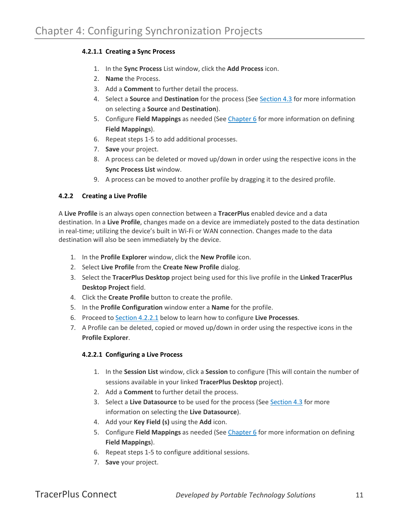#### <span id="page-11-1"></span>**4.2.1.1 Creating a Sync Process**

- 1. In the **Sync Process** List window, click the **Add Process** icon.
- 2. **Name** the Process.
- 3. Add a **Comment** to further detail the process.
- 4. Select a **Source** and **Destination** for the process (See [Section 4.3](#page-12-1) for more information on selecting a **Source** and **Destination**).
- 5. Configure **Field Mappings** as needed (See [Chapter 6](#page-15-0) for more information on defining **Field Mappings**).
- 6. Repeat steps 1-5 to add additional processes.
- 7. **Save** your project.
- 8. A process can be deleted or moved up/down in order using the respective icons in the **Sync Process List** window.
- 9. A process can be moved to another profile by dragging it to the desired profile.

#### <span id="page-11-0"></span>**4.2.2 Creating a Live Profile**

A **Live Profile** is an always open connection between a **TracerPlus** enabled device and a data destination. In a **Live Profile**, changes made on a device are immediately posted to the data destination in real-time; utilizing the device's built in Wi-Fi or WAN connection. Changes made to the data destination will also be seen immediately by the device.

- 1. In the **Profile Explorer** window, click the **New Profile** icon.
- 2. Select **Live Profile** from the **Create New Profile** dialog.
- 3. Select the **TracerPlus Desktop** project being used for this live profile in the **Linked TracerPlus Desktop Project** field.
- 4. Click the **Create Profile** button to create the profile.
- 5. In the **Profile Configuration** window enter a **Name** for the profile.
- 6. Proceed to [Section 4.2.2.1](#page-11-2) below to learn how to configure **Live Processes**.
- <span id="page-11-2"></span>7. A Profile can be deleted, copied or moved up/down in order using the respective icons in the **Profile Explorer**.

#### **4.2.2.1 Configuring a Live Process**

- 1. In the **Session List** window, click a **Session** to configure (This will contain the number of sessions available in your linked **TracerPlus Desktop** project).
- 2. Add a **Comment** to further detail the process.
- 3. Select a **Live Datasource** to be used for the process (See [Section 4.3](#page-12-2) for more information on selecting the **Live Datasource**).
- 4. Add your **Key Field (s)** using the **Add** icon.
- 5. Configure **Field Mappings** as needed (See [Chapter 6](#page-15-0) for more information on defining **Field Mappings**).
- 6. Repeat steps 1-5 to configure additional sessions.
- 7. **Save** your project.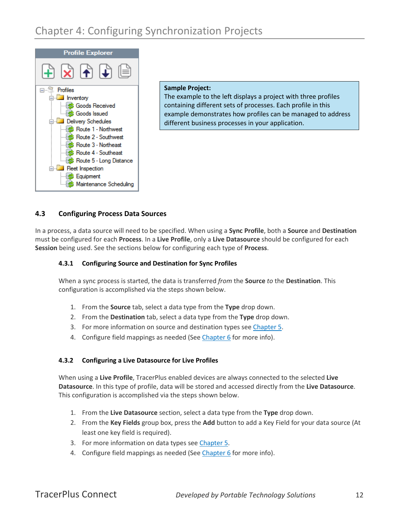

#### **Sample Project:**

The example to the left displays a project with three profiles containing different sets of processes. Each profile in this example demonstrates how profiles can be managed to address different business processes in your application.

#### <span id="page-12-0"></span>**4.3 Configuring Process Data Sources**

<span id="page-12-1"></span>In a process, a data source will need to be specified. When using a **Sync Profile**, both a **Source** and **Destination** must be configured for each **Process**. In a **Live Profile**, only a **Live Datasource** should be configured for each **Session** being used. See the sections below for configuring each type of **Process**.

#### **4.3.1 Configuring Source and Destination for Sync Profiles**

When a sync process is started, the data is transferred *from* the **Source** *to* the **Destination**. This configuration is accomplished via the steps shown below.

- 1. From the **Source** tab, select a data type from the **Type** drop down.
- 2. From the **Destination** tab, select a data type from the **Type** drop down.
- 3. For more information on source and destination types se[e Chapter 5.](#page-13-0)
- 4. Configure field mappings as needed (See [Chapter 6](#page-15-0) for more info).

#### <span id="page-12-2"></span>**4.3.2 Configuring a Live Datasource for Live Profiles**

When using a **Live Profile**, TracerPlus enabled devices are always connected to the selected **Live Datasource**. In this type of profile, data will be stored and accessed directly from the **Live Datasource**. This configuration is accomplished via the steps shown below.

- 1. From the **Live Datasource** section, select a data type from the **Type** drop down.
- 2. From the **Key Fields** group box, press the **Add** button to add a Key Field for your data source (At least one key field is required).
- 3. For more information on data types see [Chapter 5.](#page-13-0)
- 4. Configure field mappings as needed (See [Chapter 6](#page-15-0) for more info).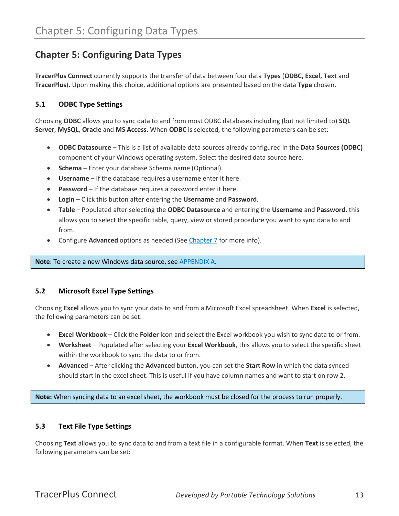#### <span id="page-13-0"></span>**Chapter 5: Configuring Data Types**

**TracerPlus Connect** currently supports the transfer of data between four data **Types** (**ODBC, Excel, Text** and **TracerPlus**)**.** Upon making this choice, additional options are presented based on the data **Type** chosen.

#### <span id="page-13-1"></span>**5.1 ODBC Type Settings**

Choosing **ODBC** allows you to sync data to and from most ODBC databases including (but not limited to) **SQL Server**, **MySQL**, **Oracle** and **MS Access**. When **ODBC** is selected, the following parameters can be set:

- **ODBC Datasource** This is a list of available data sources already configured in the **Data Sources (ODBC)** component of your Windows operating system. Select the desired data source here.
- **Schema** Enter your database Schema name (Optional).
- **Username** If the database requires a username enter it here.
- **Password** If the database requires a password enter it here.
- **Login**  Click this button after entering the **Username** and **Password**.
- **Table** Populated after selecting the **ODBC Datasource** and entering the **Username** and **Password**, this allows you to select the specific table, query, view or stored procedure you want to sync data to and from.
- Configure **Advanced** options as needed (See [Chapter 7](#page-17-0) for more info).

**Note**: To create a new Windows data source, see [APPENDIX A.](#page-29-0)

#### <span id="page-13-2"></span>**5.2 Microsoft Excel Type Settings**

Choosing **Excel** allows you to sync your data to and from a Microsoft Excel spreadsheet. When **Excel** is selected, the following parameters can be set:

- **Excel Workbook** Click the **Folder** icon and select the Excel workbook you wish to sync data to or from.
- **Worksheet** Populated after selecting your **Excel Workbook**, this allows you to select the specific sheet within the workbook to sync the data to or from.
- **Advanced** After clicking the **Advanced** button, you can set the **Start Row** in which the data synced should start in the excel sheet. This is useful if you have column names and want to start on row 2.

**Note:** When syncing data to an excel sheet, the workbook must be closed for the process to run properly.

#### <span id="page-13-3"></span>**5.3 Text File Type Settings**

Choosing **Text** allows you to sync data to and from a text file in a configurable format. When **Text** is selected, the following parameters can be set: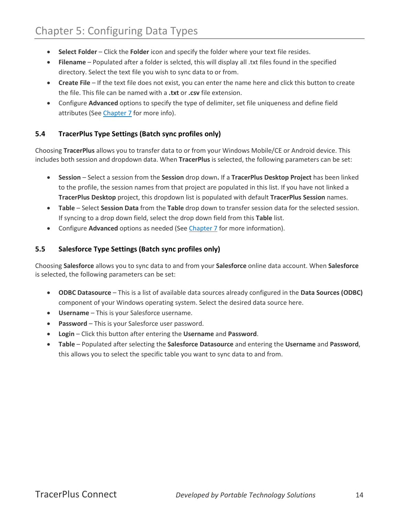- **Select Folder** Click the **Folder** icon and specify the folder where your text file resides.
- **Filename** Populated after a folder is selcted, this will display all .txt files found in the specified directory. Select the text file you wish to sync data to or from.
- **Create File** If the text file does not exist, you can enter the name here and click this button to create the file. This file can be named with a **.txt** or **.csv** file extension.
- Configure **Advanced** options to specify the type of delimiter, set file uniqueness and define field attributes (See [Chapter 7](#page-17-0) for more info).

#### <span id="page-14-0"></span>**5.4 TracerPlus Type Settings (Batch sync profiles only)**

Choosing **TracerPlus** allows you to transfer data to or from your Windows Mobile/CE or Android device. This includes both session and dropdown data. When **TracerPlus** is selected, the following parameters can be set:

- **Session** Select a session from the **Session** drop down**.** If a **TracerPlus Desktop Project** has been linked to the profile, the session names from that project are populated in this list. If you have not linked a **TracerPlus Desktop** project, this dropdown list is populated with default **TracerPlus Session** names.
- **Table** Select **Session Data** from the **Table** drop down to transfer session data for the selected session. If syncing to a drop down field, select the drop down field from this **Table** list.
- Configure **Advanced** options as needed (See *Chapter 7* for more information).

#### <span id="page-14-1"></span>**5.5 Salesforce Type Settings (Batch sync profiles only)**

Choosing **Salesforce** allows you to sync data to and from your **Salesforce** online data account. When **Salesforce** is selected, the following parameters can be set:

- **ODBC Datasource** This is a list of available data sources already configured in the **Data Sources (ODBC)** component of your Windows operating system. Select the desired data source here.
- **Username** This is your Salesforce username.
- **Password** This is your Salesforce user password.
- **Login**  Click this button after entering the **Username** and **Password**.
- **Table** Populated after selecting the **Salesforce Datasource** and entering the **Username** and **Password**, this allows you to select the specific table you want to sync data to and from.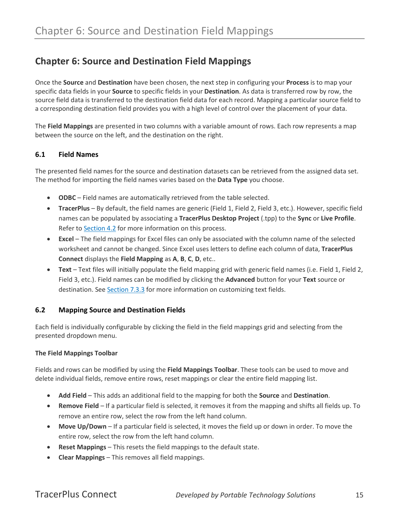#### <span id="page-15-0"></span>**Chapter 6: Source and Destination Field Mappings**

Once the **Source** and **Destination** have been chosen, the next step in configuring your **Process** is to map your specific data fields in your **Source** to specific fields in your **Destination**. As data is transferred row by row, the source field data is transferred to the destination field data for each record. Mapping a particular source field to a corresponding destination field provides you with a high level of control over the placement of your data.

The **Field Mappings** are presented in two columns with a variable amount of rows. Each row represents a map between the source on the left, and the destination on the right.

#### <span id="page-15-1"></span>**6.1 Field Names**

The presented field names for the source and destination datasets can be retrieved from the assigned data set. The method for importing the field names varies based on the **Data Type** you choose.

- **ODBC** Field names are automatically retrieved from the table selected.
- **TracerPlus** By default, the field names are generic (Field 1, Field 2, Field 3, etc.). However, specific field names can be populated by associating a **TracerPlus Desktop Project** (.tpp) to the **Sync** or **Live Profile**. Refer t[o Section 4.2](#page-10-2) for more information on this process.
- **Excel** The field mappings for Excel files can only be associated with the column name of the selected worksheet and cannot be changed. Since Excel uses letters to define each column of data, **TracerPlus Connect** displays the **Field Mapping** as **A**, **B**, **C**, **D**, etc..
- **Text** Text files will initially populate the field mapping grid with generic field names (i.e. Field 1, Field 2, Field 3, etc.). Field names can be modified by clicking the **Advanced** button for your **Text** source or destination. See [Section 7.3.3](#page-19-2) for more information on customizing text fields.

#### <span id="page-15-2"></span>**6.2 Mapping Source and Destination Fields**

Each field is individually configurable by clicking the field in the field mappings grid and selecting from the presented dropdown menu.

#### **The Field Mappings Toolbar**

Fields and rows can be modified by using the **Field Mappings Toolbar**. These tools can be used to move and delete individual fields, remove entire rows, reset mappings or clear the entire field mapping list.

- **Add Field** This adds an additional field to the mapping for both the **Source** and **Destination**.
- **Remove Field** If a particular field is selected, it removes it from the mapping and shifts all fields up. To remove an entire row, select the row from the left hand column.
- **Move Up/Down** If a particular field is selected, it moves the field up or down in order. To move the entire row, select the row from the left hand column.
- **Reset Mappings** This resets the field mappings to the default state.
- **Clear Mappings** This removes all field mappings.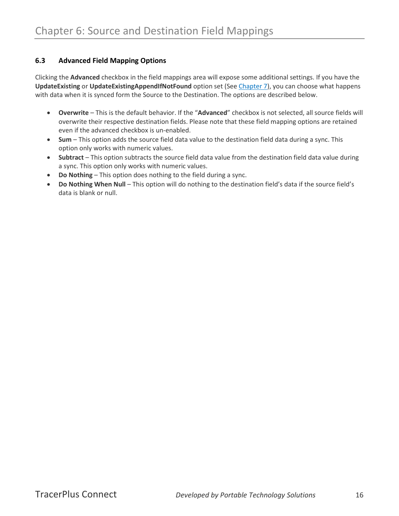#### <span id="page-16-0"></span>**6.3 Advanced Field Mapping Options**

Clicking the **Advanced** checkbox in the field mappings area will expose some additional settings. If you have the **UpdateExisting** or **UpdateExistingAppendIfNotFound** option set (Se[e Chapter 7\)](#page-17-0), you can choose what happens with data when it is synced form the Source to the Destination. The options are described below.

- **Overwrite** This is the default behavior. If the "**Advanced**" checkbox is not selected, all source fields will overwrite their respective destination fields. Please note that these field mapping options are retained even if the advanced checkbox is un-enabled.
- **Sum** This option adds the source field data value to the destination field data during a sync. This option only works with numeric values.
- **Subtract** This option subtracts the source field data value from the destination field data value during a sync. This option only works with numeric values.
- **Do Nothing** This option does nothing to the field during a sync.
- **Do Nothing When Null**  This option will do nothing to the destination field's data if the source field's data is blank or null.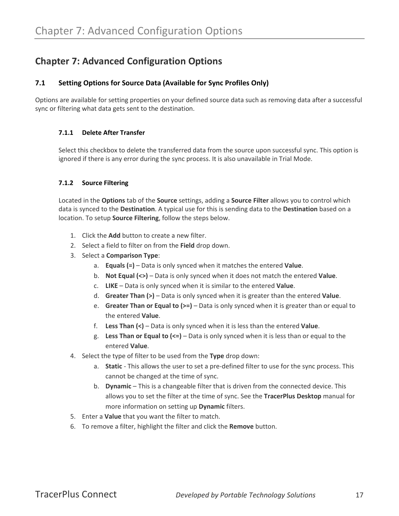#### <span id="page-17-0"></span>**Chapter 7: Advanced Configuration Options**

#### <span id="page-17-1"></span>**7.1 Setting Options for Source Data (Available for Sync Profiles Only)**

<span id="page-17-2"></span>Options are available for setting properties on your defined source data such as removing data after a successful sync or filtering what data gets sent to the destination.

#### **7.1.1 Delete After Transfer**

Select this checkbox to delete the transferred data from the source upon successful sync. This option is ignored if there is any error during the sync process. It is also unavailable in Trial Mode.

#### <span id="page-17-3"></span>**7.1.2 Source Filtering**

Located in the **Options** tab of the **Source** settings, adding a **Source Filter** allows you to control which data is synced to the **Destination**. A typical use for this is sending data to the **Destination** based on a location. To setup **Source Filtering**, follow the steps below.

- 1. Click the **Add** button to create a new filter.
- 2. Select a field to filter on from the **Field** drop down.
- 3. Select a **Comparison Type**:
	- a. **Equals (=)** Data is only synced when it matches the entered **Value**.
	- b. **Not Equal (<>)** Data is only synced when it does not match the entered **Value**.
	- c. **LIKE** Data is only synced when it is similar to the entered **Value**.
	- d. **Greater Than (>)** Data is only synced when it is greater than the entered **Value**.
	- e. **Greater Than or Equal to (>=)** Data is only synced when it is greater than or equal to the entered **Value**.
	- f. **Less Than (<)** Data is only synced when it is less than the entered **Value**.
	- g. **Less Than or Equal to (<=)** Data is only synced when it is less than or equal to the entered **Value**.
- 4. Select the type of filter to be used from the **Type** drop down:
	- a. **Static** This allows the user to set a pre-defined filter to use for the sync process. This cannot be changed at the time of sync.
	- b. **Dynamic** This is a changeable filter that is driven from the connected device. This allows you to set the filter at the time of sync. See the **TracerPlus Desktop** manual for more information on setting up **Dynamic** filters.
- 5. Enter a **Value** that you want the filter to match.
- 6. To remove a filter, highlight the filter and click the **Remove** button.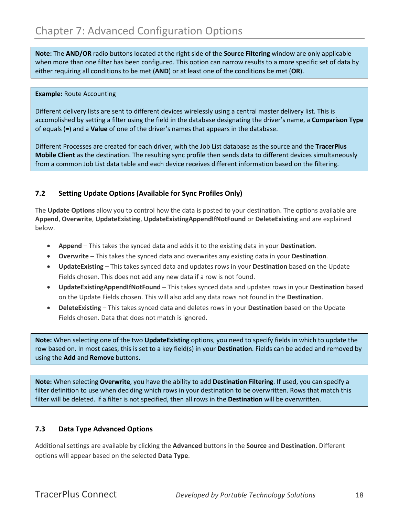**Note:** The **AND/OR** radio buttons located at the right side of the **Source Filtering** window are only applicable when more than one filter has been configured. This option can narrow results to a more specific set of data by either requiring all conditions to be met (**AND**) or at least one of the conditions be met (**OR**).

#### **Example:** Route Accounting

Different delivery lists are sent to different devices wirelessly using a central master delivery list. This is accomplished by setting a filter using the field in the database designating the driver's name, a **Comparison Type** of equals (**=**) and a **Value** of one of the driver's names that appears in the database.

Different Processes are created for each driver, with the Job List database as the source and the **TracerPlus Mobile Client** as the destination. The resulting sync profile then sends data to different devices simultaneously from a common Job List data table and each device receives different information based on the filtering.

#### <span id="page-18-0"></span>**7.2 Setting Update Options (Available for Sync Profiles Only)**

The **Update Options** allow you to control how the data is posted to your destination. The options available are **Append**, **Overwrite**, **UpdateExisting**, **UpdateExistingAppendIfNotFound** or **DeleteExisting** and are explained below.

- **Append** This takes the synced data and adds it to the existing data in your **Destination**.
- **Overwrite** This takes the synced data and overwrites any existing data in your **Destination**.
- **UpdateExisting** This takes synced data and updates rows in your **Destination** based on the Update Fields chosen. This does not add any new data if a row is not found.
- **UpdateExistingAppendIfNotFound** This takes synced data and updates rows in your **Destination** based on the Update Fields chosen. This will also add any data rows not found in the **Destination**.
- **DeleteExisting** This takes synced data and deletes rows in your **Destination** based on the Update Fields chosen. Data that does not match is ignored.

**Note:** When selecting one of the two **UpdateExisting** options, you need to specify fields in which to update the row based on. In most cases, this is set to a key field(s) in your **Destination**. Fields can be added and removed by using the **Add** and **Remove** buttons.

**Note:** When selecting **Overwrite**, you have the ability to add **Destination Filtering**. If used, you can specify a filter definition to use when deciding which rows in your destination to be overwritten. Rows that match this filter will be deleted. If a filter is not specified, then all rows in the **Destination** will be overwritten.

#### <span id="page-18-1"></span>**7.3 Data Type Advanced Options**

Additional settings are available by clicking the **Advanced** buttons in the **Source** and **Destination**. Different options will appear based on the selected **Data Type**.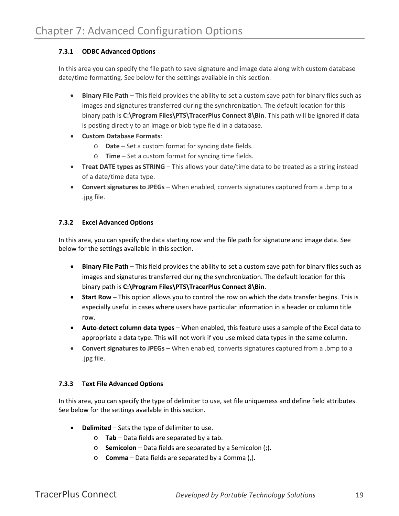#### <span id="page-19-0"></span>**7.3.1 ODBC Advanced Options**

In this area you can specify the file path to save signature and image data along with custom database date/time formatting. See below for the settings available in this section.

- **Binary File Path** This field provides the ability to set a custom save path for binary files such as images and signatures transferred during the synchronization. The default location for this binary path is **C:\Program Files\PTS\TracerPlus Connect 8\Bin**. This path will be ignored if data is posting directly to an image or blob type field in a database.
- **Custom Database Formats**:
	- o **Date**  Set a custom format for syncing date fields.
	- o **Time** Set a custom format for syncing time fields.
- **Treat DATE types as STRING** This allows your date/time data to be treated as a string instead of a date/time data type.
- **Convert signatures to JPEGs**  When enabled, converts signatures captured from a .bmp to a .jpg file.

#### <span id="page-19-1"></span>**7.3.2 Excel Advanced Options**

In this area, you can specify the data starting row and the file path for signature and image data. See below for the settings available in this section.

- **Binary File Path** This field provides the ability to set a custom save path for binary files such as images and signatures transferred during the synchronization. The default location for this binary path is **C:\Program Files\PTS\TracerPlus Connect 8\Bin**.
- **Start Row**  This option allows you to control the row on which the data transfer begins. This is especially useful in cases where users have particular information in a header or column title row.
- **Auto**-**detect column data types**  When enabled, this feature uses a sample of the Excel data to appropriate a data type. This will not work if you use mixed data types in the same column.
- **Convert signatures to JPEGs**  When enabled, converts signatures captured from a .bmp to a .jpg file.

#### <span id="page-19-2"></span>**7.3.3 Text File Advanced Options**

In this area, you can specify the type of delimiter to use, set file uniqueness and define field attributes. See below for the settings available in this section.

- **Delimited** Sets the type of delimiter to use.
	- o **Tab** Data fields are separated by a tab.
	- o **Semicolon** Data fields are separated by a Semicolon (;).
	- o **Comma** Data fields are separated by a Comma (,).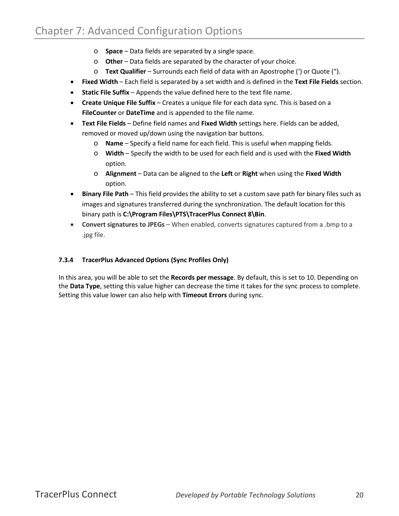- o **Space** Data fields are separated by a single space.
- o **Other** Data fields are separated by the character of your choice.
- o **Text Qualifier** Surrounds each field of data with an Apostrophe (') or Quote (").
- **Fixed Width** Each field is separated by a set width and is defined in the **Text File Fields** section.
- **Static File Suffix** Appends the value defined here to the text file name.
- **Create Unique File Suffix** Creates a unique file for each data sync. This is based on a **FileCounter** or **DateTime** and is appended to the file name.
- **Text File Fields** Define field names and **Fixed Width** settings here. Fields can be added, removed or moved up/down using the navigation bar buttons.
	- o **Name** Specify a field name for each field. This is useful when mapping fields.
	- o **Width** Specify the width to be used for each field and is used with the **Fixed Width** option.
	- o **Alignment** Data can be aligned to the **Left** or **Right** when using the **Fixed Width** option.
- **Binary File Path** This field provides the ability to set a custom save path for binary files such as images and signatures transferred during the synchronization. The default location for this binary path is **C:\Program Files\PTS\TracerPlus Connect 8\Bin**.
- **Convert signatures to JPEGs**  When enabled, converts signatures captured from a .bmp to a .jpg file.

#### <span id="page-20-0"></span>**7.3.4 TracerPlus Advanced Options (Sync Profiles Only)**

In this area, you will be able to set the **Records per message**. By default, this is set to 10. Depending on the **Data Type**, setting this value higher can decrease the time it takes for the sync process to complete. Setting this value lower can also help with **Timeout Errors** during sync.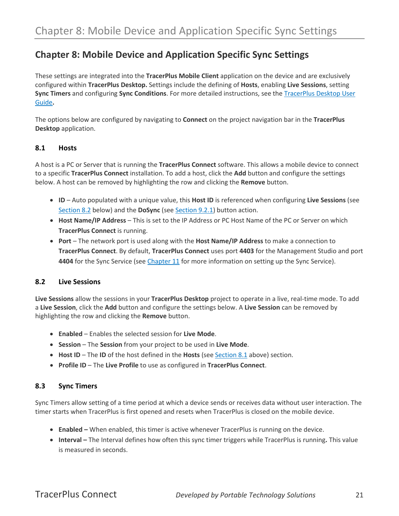#### <span id="page-21-0"></span>**Chapter 8: Mobile Device and Application Specific Sync Settings**

These settings are integrated into the **TracerPlus Mobile Client** application on the device and are exclusively configured within **TracerPlus Desktop.** Settings include the defining of **Hosts**, enabling **Live Sessions**, setting **Sync Timers** and configuring **Sync Conditions**. For more detailed instructions, see the [TracerPlus Desktop User](http://www.tracerplus.com/downloads/docs/TracerPlusDesktop_UserGuide.pdf)  [Guide](http://www.tracerplus.com/downloads/docs/TracerPlusDesktop_UserGuide.pdf)**.**

The options below are configured by navigating to **Connect** on the project navigation bar in the **TracerPlus Desktop** application.

#### <span id="page-21-1"></span>**8.1 Hosts**

A host is a PC or Server that is running the **TracerPlus Connect** software. This allows a mobile device to connect to a specific **TracerPlus Connect** installation. To add a host, click the **Add** button and configure the settings below. A host can be removed by highlighting the row and clicking the **Remove** button.

- **ID** Auto populated with a unique value, this **Host ID** is referenced when configuring **Live Sessions** (see [Section 8.2](#page-21-2) below) and the **DoSync** (see [Section 9.2.1\)](#page-23-5) button action.
- **Host Name/IP Address** This is set to the IP Address or PC Host Name of the PC or Server on which **TracerPlus Connect** is running.
- **Port** The network port is used along with the **Host Name/IP Address** to make a connection to **TracerPlus Connect**. By default, **TracerPlus Connect** uses port **4403** for the Management Studio and port **4404** for the Sync Service (see [Chapter 11](#page-27-0) for more information on setting up the Sync Service).

#### <span id="page-21-2"></span>**8.2 Live Sessions**

**Live Sessions** allow the sessions in your **TracerPlus Desktop** project to operate in a live, real-time mode. To add a **Live Session**, click the **Add** button and configure the settings below. A **Live Session** can be removed by highlighting the row and clicking the **Remove** button.

- **Enabled** Enables the selected session for **Live Mode**.
- **Session** The **Session** from your project to be used in **Live Mode**.
- **Host ID** The **ID** of the host defined in the **Hosts** (see [Section 8.1](#page-21-1) above) section.
- **Profile ID** The **Live Profile** to use as configured in **TracerPlus Connect**.

#### <span id="page-21-3"></span>**8.3 Sync Timers**

Sync Timers allow setting of a time period at which a device sends or receives data without user interaction. The timer starts when TracerPlus is first opened and resets when TracerPlus is closed on the mobile device.

- **Enabled –** When enabled, this timer is active whenever TracerPlus is running on the device.
- **Interval –** The Interval defines how often this sync timer triggers while TracerPlus is running**.** This value is measured in seconds.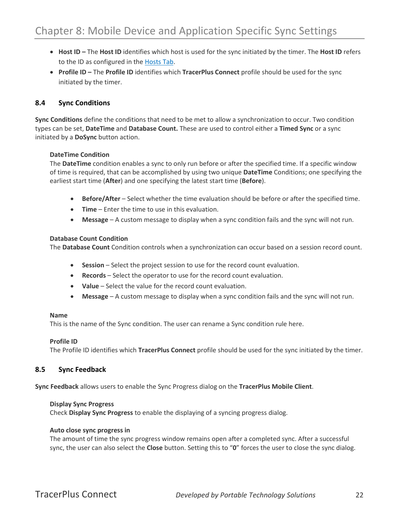- **Host ID –** The **Host ID** identifies which host is used for the sync initiated by the timer. The **Host ID** refers to the ID as configured in the [Hosts Tab.](#page-21-1)
- **Profile ID –** The **Profile ID** identifies which **TracerPlus Connect** profile should be used for the sync initiated by the timer.

#### <span id="page-22-0"></span>**8.4 Sync Conditions**

**Sync Conditions** define the conditions that need to be met to allow a synchronization to occur. Two condition types can be set, **DateTime** and **Database Count.** These are used to control either a **Timed Sync** or a sync initiated by a **DoSync** button action.

#### **DateTime Condition**

The **DateTime** condition enables a sync to only run before or after the specified time. If a specific window of time is required, that can be accomplished by using two unique **DateTime** Conditions; one specifying the earliest start time (**After**) and one specifying the latest start time (**Before**).

- **Before/After** Select whether the time evaluation should be before or after the specified time.
- **Time** Enter the time to use in this evaluation.
- **Message** A custom message to display when a sync condition fails and the sync will not run.

#### **Database Count Condition**

The **Database Count** Condition controls when a synchronization can occur based on a session record count.

- **Session** Select the project session to use for the record count evaluation.
- **Records** Select the operator to use for the record count evaluation.
- **Value**  Select the value for the record count evaluation.
- **Message**  A custom message to display when a sync condition fails and the sync will not run.

#### **Name**

This is the name of the Sync condition. The user can rename a Sync condition rule here.

#### **Profile ID**

The Profile ID identifies which **TracerPlus Connect** profile should be used for the sync initiated by the timer.

#### <span id="page-22-1"></span>**8.5 Sync Feedback**

**Sync Feedback** allows users to enable the Sync Progress dialog on the **TracerPlus Mobile Client**.

#### **Display Sync Progress**

Check **Display Sync Progress** to enable the displaying of a syncing progress dialog.

#### **Auto close sync progress in**

The amount of time the sync progress window remains open after a completed sync. After a successful sync, the user can also select the **Close** button. Setting this to "**0**" forces the user to close the sync dialog.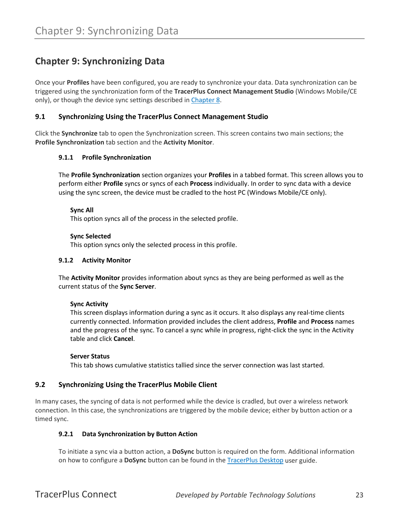#### <span id="page-23-0"></span>**Chapter 9: Synchronizing Data**

Once your **Profiles** have been configured, you are ready to synchronize your data. Data synchronization can be triggered using the synchronization form of the **TracerPlus Connect Management Studio** (Windows Mobile/CE only), or though the device sync settings described i[n Chapter 8.](#page-21-0)

#### <span id="page-23-1"></span>**9.1 Synchronizing Using the TracerPlus Connect Management Studio**

<span id="page-23-2"></span>Click the **Synchronize** tab to open the Synchronization screen. This screen contains two main sections; the **Profile Synchronization** tab section and the **Activity Monitor**.

#### **9.1.1 Profile Synchronization**

The **Profile Synchronization** section organizes your **Profiles** in a tabbed format. This screen allows you to perform either **Profile** syncs or syncs of each **Process** individually. In order to sync data with a device using the sync screen, the device must be cradled to the host PC (Windows Mobile/CE only).

#### **Sync All**

This option syncs all of the process in the selected profile.

#### **Sync Selected**

This option syncs only the selected process in this profile.

#### <span id="page-23-3"></span>**9.1.2 Activity Monitor**

The **Activity Monitor** provides information about syncs as they are being performed as well as the current status of the **Sync Server**.

#### **Sync Activity**

This screen displays information during a sync as it occurs. It also displays any real-time clients currently connected. Information provided includes the client address, **Profile** and **Process** names and the progress of the sync. To cancel a sync while in progress, right-click the sync in the Activity table and click **Cancel**.

#### **Server Status**

This tab shows cumulative statistics tallied since the server connection was last started.

#### <span id="page-23-4"></span>**9.2 Synchronizing Using the TracerPlus Mobile Client**

<span id="page-23-5"></span>In many cases, the syncing of data is not performed while the device is cradled, but over a wireless network connection. In this case, the synchronizations are triggered by the mobile device; either by button action or a timed sync.

#### **9.2.1 Data Synchronization by Button Action**

To initiate a sync via a button action, a **DoSync** button is required on the form. Additional information on how to configure a **DoSync** button can be found in the [TracerPlus Desktop](http://www.tracerplus.com/downloads/docs/TracerPlusDesktop_UserGuide.pdf) user guide.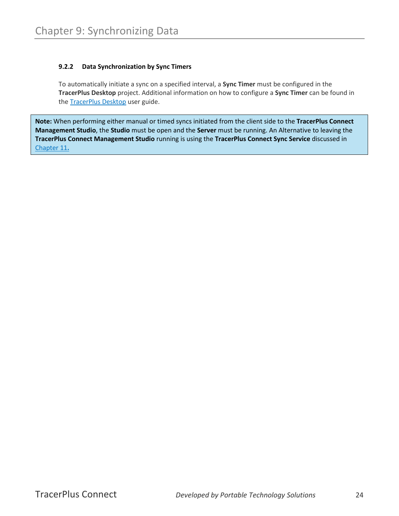#### <span id="page-24-0"></span>**9.2.2 Data Synchronization by Sync Timers**

To automatically initiate a sync on a specified interval, a **Sync Timer** must be configured in the **TracerPlus Desktop** project. Additional information on how to configure a **Sync Timer** can be found in the **TracerPlus Desktop** user guide.

**Note:** When performing either manual or timed syncs initiated from the client side to the **TracerPlus Connect Management Studio**, the **Studio** must be open and the **Server** must be running. An Alternative to leaving the **TracerPlus Connect Management Studio** running is using the **TracerPlus Connect Sync Service** discussed in [Chapter 11](#page-27-0)**.**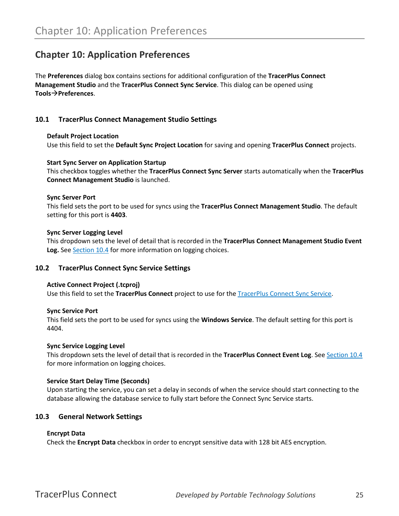#### <span id="page-25-0"></span>**Chapter 10: Application Preferences**

The **Preferences** dialog box contains sections for additional configuration of the **TracerPlus Connect Management Studio** and the **TracerPlus Connect Sync Service**. This dialog can be opened using **ToolsPreferences**.

#### <span id="page-25-1"></span>**10.1 TracerPlus Connect Management Studio Settings**

#### **Default Project Location**

Use this field to set the **Default Sync Project Location** for saving and opening **TracerPlus Connect** projects.

#### **Start Sync Server on Application Startup**

This checkbox toggles whether the **TracerPlus Connect Sync Server** starts automatically when the **TracerPlus Connect Management Studio** is launched.

#### **Sync Server Port**

This field sets the port to be used for syncs using the **TracerPlus Connect Management Studio**. The default setting for this port is **4403**.

#### **Sync Server Logging Level**

This dropdown sets the level of detail that is recorded in the **TracerPlus Connect Management Studio Event Log.** Se[e Section 10.4](#page-26-0) for more information on logging choices.

#### <span id="page-25-2"></span>**10.2 TracerPlus Connect Sync Service Settings**

#### **Active Connect Project (.tcproj)**

Use this field to set the **TracerPlus Connect** project to use for the [TracerPlus Connect Sync Service.](#page-27-0)

#### **Sync Service Port**

This field sets the port to be used for syncs using the **Windows Service**. The default setting for this port is 4404.

#### **Sync Service Logging Level**

This dropdown sets the level of detail that is recorded in the **TracerPlus Connect Event Log**. Se[e Section 10.4](#page-26-0) for more information on logging choices.

#### **Service Start Delay Time (Seconds)**

Upon starting the service, you can set a delay in seconds of when the service should start connecting to the database allowing the database service to fully start before the Connect Sync Service starts.

#### <span id="page-25-3"></span>**10.3 General Network Settings**

#### **Encrypt Data**

Check the **Encrypt Data** checkbox in order to encrypt sensitive data with 128 bit AES encryption.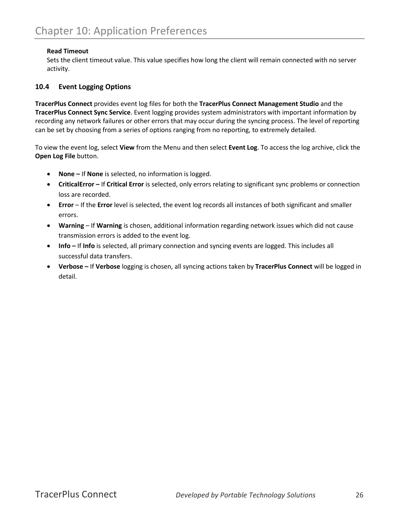#### **Read Timeout**

Sets the client timeout value. This value specifies how long the client will remain connected with no server activity.

#### <span id="page-26-0"></span>**10.4 Event Logging Options**

**TracerPlus Connect** provides event log files for both the **TracerPlus Connect Management Studio** and the **TracerPlus Connect Sync Service**. Event logging provides system administrators with important information by recording any network failures or other errors that may occur during the syncing process. The level of reporting can be set by choosing from a series of options ranging from no reporting, to extremely detailed.

To view the event log, select **View** from the Menu and then select **Event Log**. To access the log archive, click the **Open Log File** button.

- **None –** If **None** is selected, no information is logged.
- **CriticalError –** If **Critical Error** is selected, only errors relating to significant sync problems or connection loss are recorded.
- **Error** If the **Error** level is selected, the event log records all instances of both significant and smaller errors.
- **Warning** If **Warning** is chosen, additional information regarding network issues which did not cause transmission errors is added to the event log.
- **Info –** If **Info** is selected, all primary connection and syncing events are logged. This includes all successful data transfers.
- **Verbose –** If **Verbose** logging is chosen, all syncing actions taken by **TracerPlus Connect** will be logged in detail.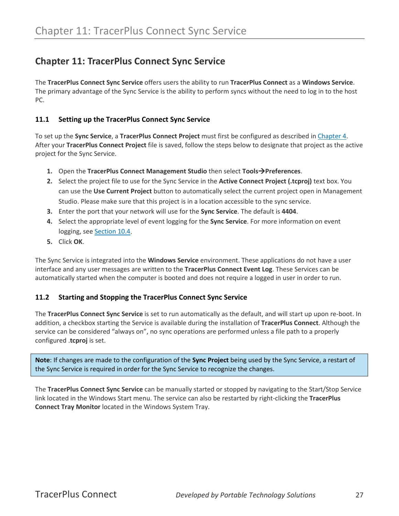#### <span id="page-27-0"></span>**Chapter 11: TracerPlus Connect Sync Service**

The **TracerPlus Connect Sync Service** offers users the ability to run **TracerPlus Connect** as a **Windows Service**. The primary advantage of the Sync Service is the ability to perform syncs without the need to log in to the host PC.

#### <span id="page-27-1"></span>**11.1 Setting up the TracerPlus Connect Sync Service**

To set up the **Sync Service**, a **TracerPlus Connect Project** must first be configured as described in [Chapter 4.](#page-10-0) After your **TracerPlus Connect Project** file is saved, follow the steps below to designate that project as the active project for the Sync Service.

- **1.** Open the **TracerPlus Connect Management Studio** then select **ToolsPreferences**.
- **2.** Select the project file to use for the Sync Service in the **Active Connect Project (.tcproj)** text box. You can use the **Use Current Project** button to automatically select the current project open in Management Studio. Please make sure that this project is in a location accessible to the sync service.
- **3.** Enter the port that your network will use for the **Sync Service**. The default is **4404**.
- **4.** Select the appropriate level of event logging for the **Sync Service**. For more information on event logging, see [Section 10.4.](#page-26-0)
- **5.** Click **OK**.

The Sync Service is integrated into the **Windows Service** environment. These applications do not have a user interface and any user messages are written to the **TracerPlus Connect Event Log**. These Services can be automatically started when the computer is booted and does not require a logged in user in order to run.

#### <span id="page-27-2"></span>**11.2 Starting and Stopping the TracerPlus Connect Sync Service**

The **TracerPlus Connect Sync Service** is set to run automatically as the default, and will start up upon re-boot. In addition, a checkbox starting the Service is available during the installation of **TracerPlus Connect**. Although the service can be considered "always on", no sync operations are performed unless a file path to a properly configured .**tcproj** is set.

**Note**: If changes are made to the configuration of the **Sync Project** being used by the Sync Service, a restart of the Sync Service is required in order for the Sync Service to recognize the changes.

The **TracerPlus Connect Sync Service** can be manually started or stopped by navigating to the Start/Stop Service link located in the Windows Start menu. The service can also be restarted by right-clicking the **TracerPlus Connect Tray Monitor** located in the Windows System Tray.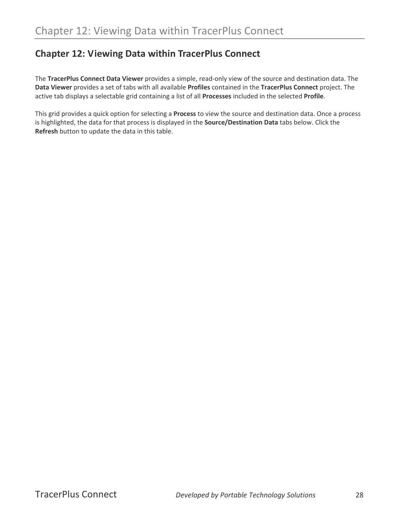#### <span id="page-28-0"></span>**Chapter 12: Viewing Data within TracerPlus Connect**

The **TracerPlus Connect Data Viewer** provides a simple, read-only view of the source and destination data. The **Data Viewer** provides a set of tabs with all available **Profiles** contained in the **TracerPlus Connect** project. The active tab displays a selectable grid containing a list of all **Processes** included in the selected **Profile**.

This grid provides a quick option for selecting a **Process** to view the source and destination data. Once a process is highlighted, the data for that process is displayed in the **Source/Destination Data** tabs below. Click the **Refresh** button to update the data in this table.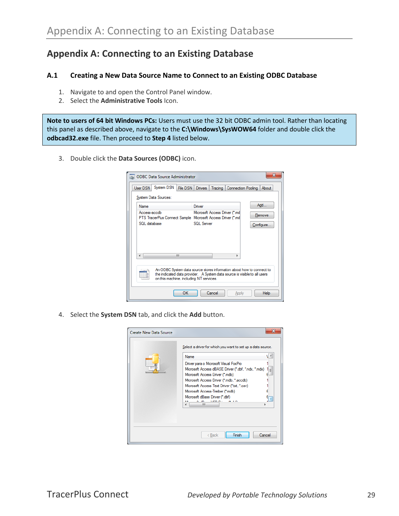#### <span id="page-29-0"></span>**Appendix A: Connecting to an Existing Database**

#### <span id="page-29-1"></span>**A.1 Creating a New Data Source Name to Connect to an Existing ODBC Database**

- 1. Navigate to and open the Control Panel window.
- 2. Select the **Administrative Tools** Icon.

**Note to users of 64 bit Windows PCs:** Users must use the 32 bit ODBC admin tool. Rather than locating this panel as described above, navigate to the **C:\Windows\SysWOW64** folder and double click the **odbcad32.exe** file. Then proceed to **Step 4** listed below.

3. Double click the **Data Sources (ODBC)** icon.

| <b>ODBC Data Source Administrator</b>                                                                                                                                                         |                                |             |  |  |  |  |
|-----------------------------------------------------------------------------------------------------------------------------------------------------------------------------------------------|--------------------------------|-------------|--|--|--|--|
| System DSN<br>File DSN<br>User DSN<br>Drivers<br>Tracing<br><b>Connection Pooling</b><br>About                                                                                                |                                |             |  |  |  |  |
| System Data Sources:                                                                                                                                                                          |                                |             |  |  |  |  |
| Name                                                                                                                                                                                          | Driver                         | Add         |  |  |  |  |
| Access-accdb<br>PTS TracerPlus Connect Sample Microsoft Access Driver (*.md)                                                                                                                  | Microsoft Access Driver (*.md) | Remove      |  |  |  |  |
| SQL database                                                                                                                                                                                  | SQL Server                     | Configure   |  |  |  |  |
| Ш<br>∢                                                                                                                                                                                        |                                |             |  |  |  |  |
| An ODBC System data source stores information about how to connect to<br>the indicated data provider. A System data source is visible to all users<br>on this machine, including NT services. |                                |             |  |  |  |  |
| OK                                                                                                                                                                                            | Cancel<br>Apply                | <b>Help</b> |  |  |  |  |

4. Select the **System DSN** tab, and click the **Add** button.

| <b>Create New Data Source</b> |                                                                                                                                                                                                                                                                                                                                                       |
|-------------------------------|-------------------------------------------------------------------------------------------------------------------------------------------------------------------------------------------------------------------------------------------------------------------------------------------------------------------------------------------------------|
|                               | Select a driver for which you want to set up a data source.<br>$\sim$<br>Name<br>Driver para o Microsoft Visual FoxPro<br>Microsoft Access dBASE Driver (*.dbf, *.ndx, *.mdx)<br>IΞ<br>Microsoft Access Driver (*.mdb)<br>Microsoft Access Driver (*.mdb. *.accdb)<br>Microsoft Access Text Driver (".txt, ".csv)<br>Microsoft Access-Treiber (*.mdb) |
|                               | Microsoft dBase Driver (*.dbf)<br>6.15<br><b><i>LIED B</i></b><br>m.<br>Finish<br>Cancel<br>< Back                                                                                                                                                                                                                                                    |